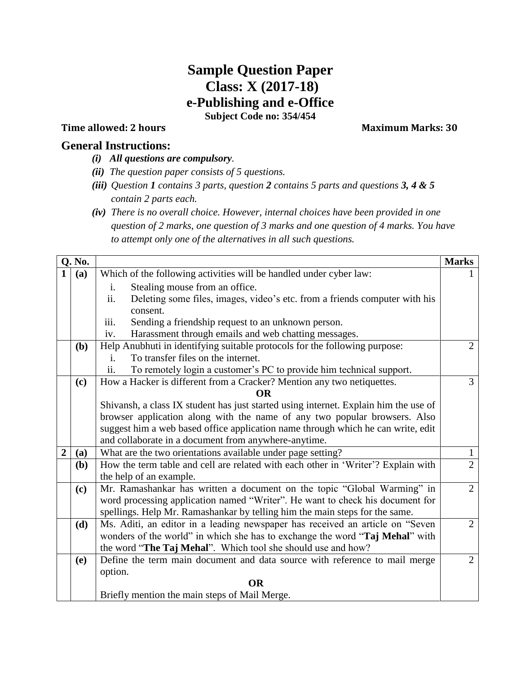## **Sample Question Paper Class: X (2017-18) e-Publishing and e-Office Subject Code no: 354/454**

## **Time allowed: 2 hours** Maximum Marks: 30

## **General Instructions:**

- *(i) All questions are compulsory.*
- *(ii) The question paper consists of 5 questions.*
- *(iii) Question 1 contains 3 parts, question 2 contains 5 parts and questions 3, 4 & 5 contain 2 parts each.*
- *(iv) There is no overall choice. However, internal choices have been provided in one question of 2 marks, one question of 3 marks and one question of 4 marks. You have to attempt only one of the alternatives in all such questions.*

| Q. No.         |     |                                                                                      | <b>Marks</b>                   |  |  |  |  |  |  |  |
|----------------|-----|--------------------------------------------------------------------------------------|--------------------------------|--|--|--|--|--|--|--|
|                | (a) | Which of the following activities will be handled under cyber law:                   |                                |  |  |  |  |  |  |  |
|                |     | Stealing mouse from an office.<br>i.                                                 |                                |  |  |  |  |  |  |  |
|                |     | ii.<br>Deleting some files, images, video's etc. from a friends computer with his    |                                |  |  |  |  |  |  |  |
|                |     | consent.                                                                             |                                |  |  |  |  |  |  |  |
|                |     | iii.<br>Sending a friendship request to an unknown person.                           |                                |  |  |  |  |  |  |  |
|                |     | Harassment through emails and web chatting messages.<br>iv.                          | $\overline{2}$                 |  |  |  |  |  |  |  |
|                | (b) | Help Anubhuti in identifying suitable protocols for the following purpose:           |                                |  |  |  |  |  |  |  |
|                |     | To transfer files on the internet.<br>i.                                             |                                |  |  |  |  |  |  |  |
|                |     | ii.<br>To remotely login a customer's PC to provide him technical support.           |                                |  |  |  |  |  |  |  |
|                | (c) | How a Hacker is different from a Cracker? Mention any two netiquettes.               |                                |  |  |  |  |  |  |  |
|                |     | <b>OR</b>                                                                            |                                |  |  |  |  |  |  |  |
|                |     | Shivansh, a class IX student has just started using internet. Explain him the use of |                                |  |  |  |  |  |  |  |
|                |     | browser application along with the name of any two popular browsers. Also            |                                |  |  |  |  |  |  |  |
|                |     | suggest him a web based office application name through which he can write, edit     |                                |  |  |  |  |  |  |  |
|                |     | and collaborate in a document from anywhere-anytime.                                 |                                |  |  |  |  |  |  |  |
| $\overline{2}$ | (a) | What are the two orientations available under page setting?                          | $\mathbf{1}$<br>$\overline{2}$ |  |  |  |  |  |  |  |
|                | (b) | How the term table and cell are related with each other in 'Writer'? Explain with    |                                |  |  |  |  |  |  |  |
|                |     | the help of an example.                                                              |                                |  |  |  |  |  |  |  |
|                | (c) | Mr. Ramashankar has written a document on the topic "Global Warming" in              | $\overline{2}$                 |  |  |  |  |  |  |  |
|                |     | word processing application named "Writer". He want to check his document for        |                                |  |  |  |  |  |  |  |
|                |     | spellings. Help Mr. Ramashankar by telling him the main steps for the same.          |                                |  |  |  |  |  |  |  |
|                | (d) | Ms. Aditi, an editor in a leading newspaper has received an article on "Seven        | $\overline{2}$                 |  |  |  |  |  |  |  |
|                |     | wonders of the world" in which she has to exchange the word "Taj Mehal" with         |                                |  |  |  |  |  |  |  |
|                |     | the word "The Taj Mehal". Which tool she should use and how?                         | $\overline{2}$                 |  |  |  |  |  |  |  |
|                | (e) | Define the term main document and data source with reference to mail merge           |                                |  |  |  |  |  |  |  |
|                |     | option.                                                                              |                                |  |  |  |  |  |  |  |
|                |     | <b>OR</b>                                                                            |                                |  |  |  |  |  |  |  |
|                |     | Briefly mention the main steps of Mail Merge.                                        |                                |  |  |  |  |  |  |  |